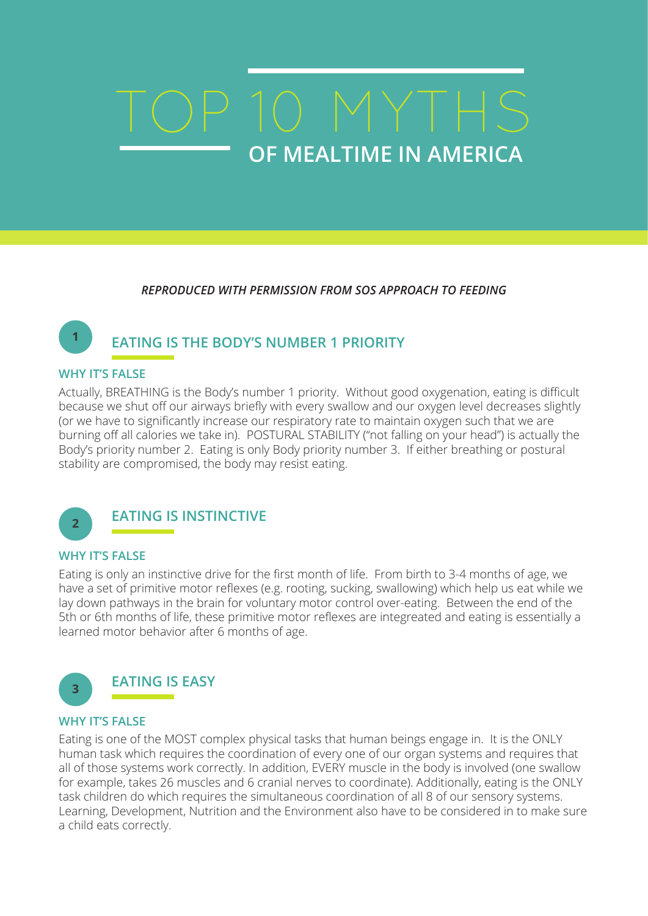# **OF MEALTIME IN AMERICA** TOP 10 MYTHS

*REPRODUCED WITH PERMISSION FROM SOS APPROACH TO FEEDING*

# **EATING IS THE BODY'S NUMBER 1 PRIORITY**

#### **WHY IT'S FALSE**

**1**

Actually, BREATHING is the Body's number 1 priority. Without good oxygenation, eating is difficult because we shut off our airways briefly with every swallow and our oxygen level decreases slightly (or we have to significantly increase our respiratory rate to maintain oxygen such that we are burning off all calories we take in). POSTURAL STABILITY ("not falling on your head") is actually the Body's priority number 2. Eating is only Body priority number 3. If either breathing or postural stability are compromised, the body may resist eating.



## **EATING IS INSTINCTIVE**

#### **WHY IT'S FALSE**

Eating is only an instinctive drive for the first month of life. From birth to 3-4 months of age, we have a set of primitive motor reflexes (e.g. rooting, sucking, swallowing) which help us eat while we lay down pathways in the brain for voluntary motor control over-eating. Between the end of the 5th or 6th months of life, these primitive motor reflexes are integreated and eating is essentially a learned motor behavior after 6 months of age.



#### **WHY IT'S FALSE**

Eating is one of the MOST complex physical tasks that human beings engage in. It is the ONLY human task which requires the coordination of every one of our organ systems and requires that all of those systems work correctly. In addition, EVERY muscle in the body is involved (one swallow for example, takes 26 muscles and 6 cranial nerves to coordinate). Additionally, eating is the ONLY task children do which requires the simultaneous coordination of all 8 of our sensory systems. Learning, Development, Nutrition and the Environment also have to be considered in to make sure a child eats correctly.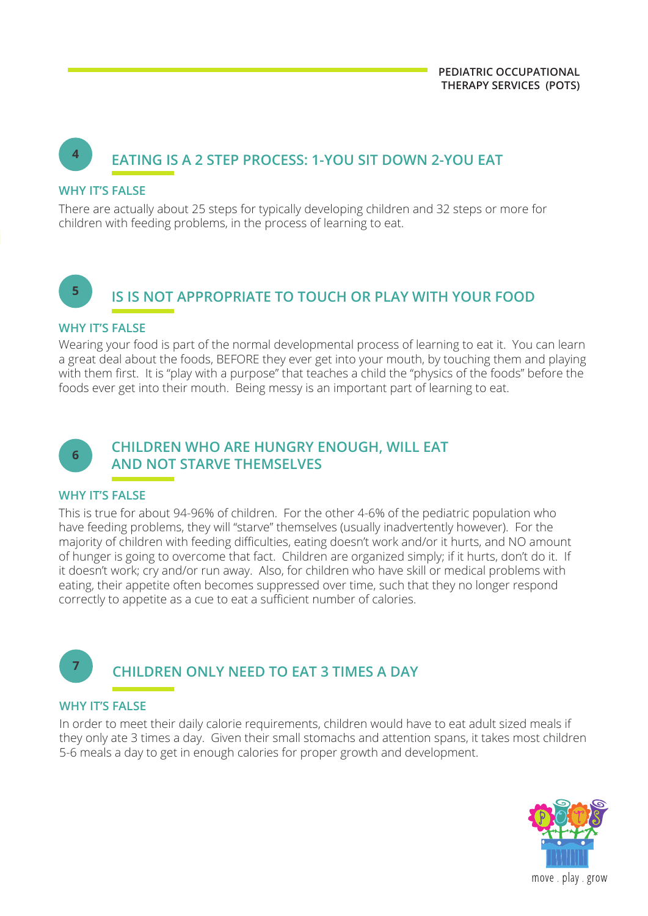# **<sup>4</sup> EATING IS A 2 STEP PROCESS: 1-YOU SIT DOWN 2-YOU EAT**

#### **WHY IT'S FAI SF**

There are actually about 25 steps for typically developing children and 32 steps or more for children with feeding problems, in the process of learning to eat.

# **<sup>5</sup> IS IS NOT APPROPRIATE TO TOUCH OR PLAY WITH YOUR FOOD**

#### **WHY IT'S FAI SF**

Wearing your food is part of the normal developmental process of learning to eat it. You can learn a great deal about the foods, BEFORE they ever get into your mouth, by touching them and playing with them first. It is "play with a purpose" that teaches a child the "physics of the foods" before the foods ever get into their mouth. Being messy is an important part of learning to eat.



### **CHILDREN WHO ARE HUNGRY ENOUGH, WILL EAT AND NOT STARVE THEMSELVES**

#### **WHY IT'S FALSE**

This is true for about 94-96% of children. For the other 4-6% of the pediatric population who have feeding problems, they will "starve" themselves (usually inadvertently however). For the majority of children with feeding difficulties, eating doesn't work and/or it hurts, and NO amount of hunger is going to overcome that fact. Children are organized simply; if it hurts, don't do it. If it doesn't work; cry and/or run away. Also, for children who have skill or medical problems with eating, their appetite often becomes suppressed over time, such that they no longer respond correctly to appetite as a cue to eat a sufficient number of calories.

# **CHILDREN ONLY NEED TO EAT 3 TIMES A DAY**

#### **WHY IT'S FALSE**

**7**

In order to meet their daily calorie requirements, children would have to eat adult sized meals if they only ate 3 times a day. Given their small stomachs and attention spans, it takes most children 5-6 meals a day to get in enough calories for proper growth and development.